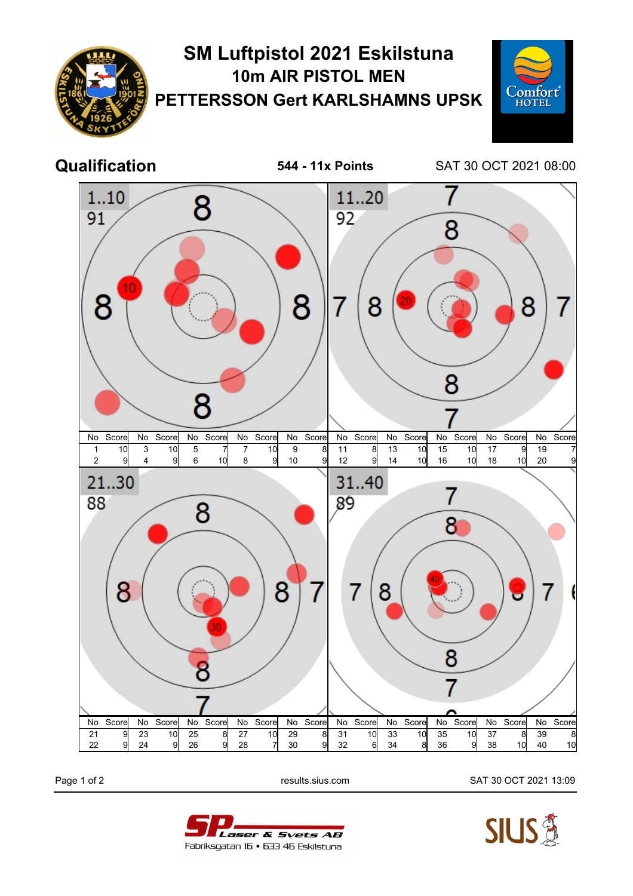



Page 1 of 2 results.sius.com SAT 30 OCT 2021 13:09



Laser & Svets AB Fabriksgatan 16 • 633 46 Eskilstuna